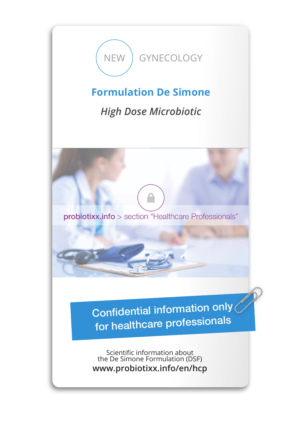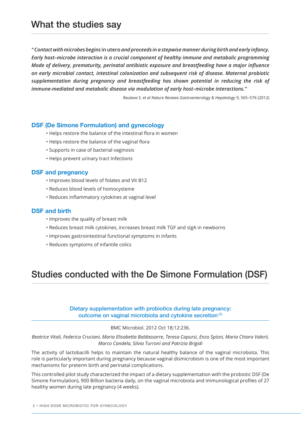*" Contact with microbes begins* **in utero** *and proceeds in a stepwise manner during birth and early infancy. Early host–microbe interaction is a crucial component of healthy immune and metabolic programming Mode of delivery, prematurity, perinatal antibiotic exposure and breastfeeding have a major influence on early microbial contact, intestinal colonization and subsequent risk of disease. Maternal probiotic supplementation during pregnancy and breastfeeding has shown potential in reducing the risk of immune-mediated and metabolic disease via modulation of early host–microbe interactions."*

*Rautava S. et al Nature Reviews Gastroenterology & Hepatology* 9, 565–576 (2012)

## **DSF (De Simone Formulation) and gynecology**

- Helps restore the balance of the intestinal flora in women
- Helps restore the balance of the vaginal flora
- Supports in case of bacterial vaginosis
- Helps prevent urinary tract Infections

## **DSF and pregnancy**

- Improves blood levels of folates and Vit B12
- Reduces blood levels of homocysteine
- Reduces inflammatory cytokines at vaginal level

## **DSF and birth**

- Improves the quality of breast milk
- Reduces breast milk cytokines, increases breast milk TGF and sIgA in newborns
- Improves gastrointestinal functional symptoms in infants
- Reduces symptoms of infantile colics

# Studies conducted with the De Simone Formulation (DSF)

Dietary supplementation with probiotics during late pregnancy: outcome on vaginal microbiota and cytokine secretion (1)

#### BMC Microbiol. 2012 Oct 18;12:236.

*Beatrice Vitali, Federica Cruciani, Maria Elisabetta Baldassarre, Teresa Capursi, Enzo Spisni, Maria Chiara Valerii, Marco Candela, Silvia Turroni and Patrizia Brigidi*

The activity of lactobacilli helps to maintain the natural healthy balance of the vaginal microbiota. This role is particularly important during pregnancy because vaginal dismicrobism is one of the most important mechanisms for preterm birth and perinatal complications.

This controlled pilot study characterized the impact of a dietary supplementation with the probiotic DSF (De Simone Formulation), 900 Billion bacteria daily, on the vaginal microbiota and immunological profiles of 27 healthy women during late pregnancy (4 weeks).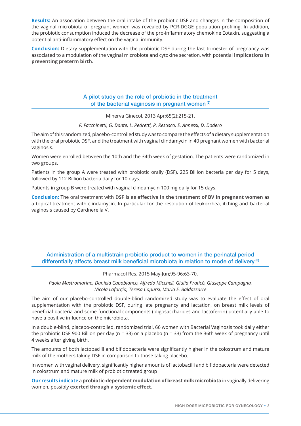**Results:** An association between the oral intake of the probiotic DSF and changes in the composition of the vaginal microbiota of pregnant women was revealed by PCR-DGGE population profiling. In addition, the probiotic consumption induced the decrease of the pro-inflammatory chemokine Eotaxin, suggesting a potential anti-inflammatory effect on the vaginal immunity.

**Conclusion:** Dietary supplementation with the probiotic DSF during the last trimester of pregnancy was associated to a modulation of the vaginal microbiota and cytokine secretion, with potential **implications in preventing preterm birth.**

# A pilot study on the role of probiotic in the treatment of the bacterial vaginosis in pregnant women (2)

Minerva Ginecol. 2013 Apr;65(2):215-21.

#### *F. Facchinetti, G. Dante, L. Pedretti, P. Resasco, E. Annessi, D. Dodero*

The aim of this randomized, placebo-controlled study was to compare the effects of a dietary supplementation with the oral probiotic DSF, and the treatment with vaginal clindamycin in 40 pregnant women with bacterial vaginosis.

Women were enrolled between the 10th and the 34th week of gestation. The patients were randomized in two groups.

Patients in the group A were treated with probiotic orally (DSF), 225 Billion bacteria per day for 5 days, followed by 112 Billion bacteria daily for 10 days.

Patients in group B were treated with vaginal clindamycin 100 mg daily for 15 days.

**Conclusion:** The oral treatment with **DSF is as effective in the treatment of BV in pregnant women** as a topical treatment with clindamycin. In particular for the resolution of leukorrhea, itching and bacterial vaginosis caused by Gardnerella V.

# Administration of a multistrain probiotic product to women in the perinatal period differentially affects breast milk beneficial microbiota in relation to mode of delivery<sup>(3)</sup>

#### Pharmacol Res. 2015 May-Jun;95-96:63-70.

*Paola Mastromarino, Daniela Capobianco, Alfredo Miccheli, Giulia Praticò, Giuseppe Campagna, Nicola Laforgia, Teresa Capursi, Maria E. Baldassarre*

The aim of our placebo-controlled double-blind randomized study was to evaluate the effect of oral supplementation with the probiotic DSF, during late pregnancy and lactation, on breast milk levels of beneficial bacteria and some functional components (oligosaccharides and lactoferrin) potentially able to have a positive influence on the microbiota.

In a double-blind, placebo-controlled, randomized trial, 66 women with Bacterial Vaginosis took daily either the probiotic DSF 900 Billion per day (n = 33) or a placebo (n = 33) from the 36th week of pregnancy until 4 weeks after giving birth.

The amounts of both lactobacilli and bifidobacteria were significantly higher in the colostrum and mature milk of the mothers taking DSF in comparison to those taking placebo.

In women with vaginal delivery, significantly higher amounts of lactobacilli and bifidobacteria were detected in colostrum and mature milk of probiotic treated group

**Our results indicate** a **probiotic-dependent modulation of breast milk microbiota** in vaginally delivering women, possibly **exerted through a systemic effect.**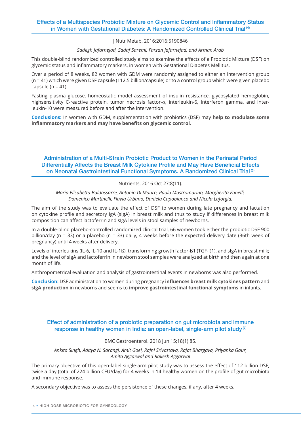# Effects of a Multispecies Probiotic Mixture on Glycemic Control and Inflammatory Status in Women with Gestational Diabetes: A Randomized Controlled Clinical Trial (4)

J Nutr Metab. 2016;2016:5190846

#### *Sadegh Jafarnejad, Sadaf Saremi, Farzan Jafarnejad, and Arman Arab*

This double-blind randomized controlled study aims to examine the effects of a Probiotic Mixture (DSF) on glycemic status and inflammatory markers, in women with Gestational Diabetes Mellitus.

Over a period of 8 weeks, 82 women with GDM were randomly assigned to either an intervention group (n = 41) which were given DSF capsule (112.5 billion/capsule) or to a control group which were given placebo capsule  $(n = 41)$ .

Fasting plasma glucose, homeostatic model assessment of insulin resistance, glycosylated hemoglobin, highsensitivity C-reactive protein, tumor necrosis factor- $\alpha$ , interleukin-6, Interferon gamma, and interleukin-10 were measured before and after the intervention.

**Conclusions:** In women with GDM, supplementation with probiotics (DSF) may **help to modulate some inflammatory markers and may have benefits on glycemic control.** 

# Administration of a Multi-Strain Probiotic Product to Women in the Perinatal Period Differentially Affects the Breast Milk Cytokine Profile and May Have Beneficial Effects on Neonatal Gastrointestinal Functional Symptoms. A Randomized Clinical Trial (5)

## Nutrients. 2016 Oct 27;8(11).

*Maria Elisabetta Baldassarre, Antonio Di Mauro, Paola Mastromarino, Margherita Fanelli, Domenico Martinelli, Flavia Urbano, Daniela Capobianco and Nicola Laforgia.*

The aim of the study was to evaluate the effect of DSF to women during late pregnancy and lactation on cytokine profile and secretory IgA (sIgA) in breast milk and thus to study if differences in breast milk composition can affect lactoferrin and sIgA levels in stool samples of newborns.

In a double-blind placebo-controlled randomized clinical trial, 66 women took either the probiotic DSF 900 billion/day (n = 33) or a placebo (n = 33) daily, 4 weeks before the expected delivery date (36th week of pregnancy) until 4 weeks after delivery.

Levels of interleukins (IL-6, IL-10 and IL-1ß), transforming growth factor-ß1 (TGF-ß1), and sIgA in breast milk; and the level of sIgA and lactoferrin in newborn stool samples were analyzed at birth and then again at one month of life.

Anthropometrical evaluation and analysis of gastrointestinal events in newborns was also performed.

**Conclusion:** DSF administration to women during pregnancy **influences breast milk cytokines pattern** and **sIgA production** in newborns and seems to **improve gastrointestinal functional symptoms** in infants.

Effect of administration of a probiotic preparation on gut microbiota and immune response in healthy women in India: an open-label, single-arm pilot study<sup>(7)</sup>

## BMC Gastroenterol. 2018 Jun 15;18(1):85.

*Ankita Singh, Aditya N. Sarangi, Amit Goel, Rajni Srivastava, Rajat Bhargava, Priyanka Gaur, Amita Aggarwal and Rakesh Aggarwal*

The primary objective of this open-label single-arm pilot study was to assess the effect of 112 billion DSF, twice a day (total of 224 billion CFU/day) for 4 weeks in 14 healthy women on the profile of gut microbiota and immune response.

A secondary objective was to assess the persistence of these changes, if any, after 4 weeks.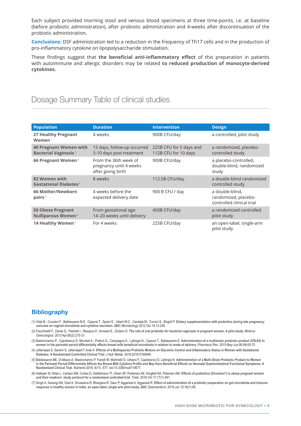Each subject provided morning stool and venous blood specimens at three time-points, i.e. at baseline (before probiotic administration), after probiotic administration and 4-weeks after discontinuation of the probiotic administration.

**Conclusions:** DSF administration led to a reduction in the frequency of Th17 cells and in the production of pro-inflammatory cytokine on lipopolysaccharide stimulation.

These findings suggest that **the beneficial anti-inflammatory effect** of this preparation in patients with autoimmune and allergic disorders may be related **to reduced production of monocyte-derived cytokines.**

# Dosage Summary Table of clinical studies

| <b>Population</b>                                                        | <b>Duration</b>                                                        | <b>Intervention</b>                             | <b>Design</b>                                                        |
|--------------------------------------------------------------------------|------------------------------------------------------------------------|-------------------------------------------------|----------------------------------------------------------------------|
| 27 Healthy Pregnant<br>Women <sup>1</sup>                                | 4 weeks                                                                | 900B CFU/day                                    | a controlled, pilot study                                            |
| <b>40 Pregnant Women with</b><br><b>Bacterial Vaginosis</b> <sup>2</sup> | 15 days, follow-up occurred<br>5-10 days post treatment                | 225B CFU for 5 days and<br>112B CFU for 10 days | a randomized, placebo-<br>controlled study                           |
| 66 Pregnant Women <sup>3</sup>                                           | From the 36th week of<br>pregnancy until 4 weeks<br>after giving birth | 900B CFU/day                                    | a placebo-controlled,<br>double-blind, randomized<br>study           |
| 82 Women with<br><b>Gestational Diabetes</b> <sup>4</sup>                | 8 weeks                                                                | 112.5B CFU/day                                  | a double-blind randomized<br>controlled study                        |
| 66 Mother/Newborn<br>pairs $5$                                           | 4 weeks before the<br>expected delivery date                           | 900 B CFU / day                                 | a double-blind,<br>randomized, placebo-<br>controlled clinical trial |
| <b>50 Obese Pregnant</b><br><b>Nulliparous Women<sup>6</sup></b>         | From gestational age:<br>14-20 weeks until delivery                    | 450B CFU/day                                    | a randomized controlled<br>pilot study                               |
| 14 Healthy Women <sup>7</sup>                                            | For 4 weeks                                                            | 225B CFU/day                                    | an open-label, single-arm<br>pilot study                             |

# **Bibliography**

- (1) Vitali B., Cruciani F., Baldassarre M.E., Capursi T., Spisni E., Valerii M.C., Candela M., Turroni S., Brigidi P. **Dietary supplementation with probiotics during late pregnancy: outcome on vaginal microbiota and cytokine secretion.** *BMC Microbiology* 2012 Oct 18;12:236.
- (2) Facchinetti F., Dante G., Pedretti I., Resasco P., Annessi E., Dodero D. **The role of oral probiotic for bacterial vaginosis in pregnant women. A pilot study.** *Minerva Ginecologica.* 2013 Apr;65(2):215-21.
- (3) Mastromarino P., Capobianco D. Miccheli A., Praticò G., Campagna G., Laforgia N., Capursi T., Baldassarre E. **Administration of a multistrain probiotic product (VSL#3) to women in the perinatal period differentially affects breast milk beneficial microbiota in relation to mode of delivery.** *Pharmacol Res.* 2015 May-Jun;95-96:63-70
- (4) Jafarnejad S, Saremi S, Jafarnejad F, Arab A. **Effects of a Multispecies Probiotic Mixture on Glycemic Control and Inflammatory Status in Women with Gestational Diabetes: A Randomized Controlled Clinical Trial.** *J Nutr Metab.* 2016;2016:5190846.
- (5) Baldassarre ME, Di Mauro A, Mastromarino P, Fanelli M, Martinelli D, Urbano F, Capobianco D, Laforgia N. **Administration of a Multi-Strain Probiotic Product to Women in the Perinatal Period Differentially Affects the Breast Milk Cytokine Profile and May Have Beneficial Effects on Neonatal Gastrointestinal Functional Symptoms. A Randomized Clinical Trial.** *Nutrients* 2016, 8(11), 677; doi:10.3390/nu8110677.
- (6) Halkjaer SI, Nilas L, Carlsen EM, Cortes D, Halldórsson TI, Olsen SF, Pedersen AE, Krogfelt KA, Petersen AM. **Effects of probiotics (Vivomixx®) in obese pregnant women and their newborn: study protocol for a randomized controlled trial.** *Trials*. 2016 Oct 11;17(1):491.
- (7) Singh A, Sarangi AN, Goel A, Srivastava R, Bhargava R, Gaur P, Aggarwal A, Aggarwal R. **Effect of administration of a probiotic preparation on gut microbiota and immune response in healthy women in India: an open-label, single-arm pilot study.** *BMC Gastroenterol.* 2018 Jun 15;18(1):85.